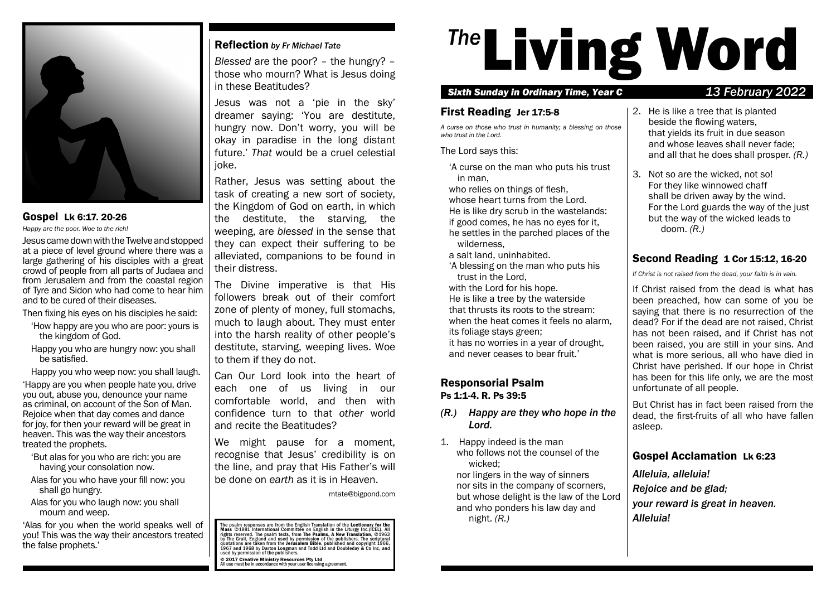

# Gospel Lk 6:17. 20-26

*Happy are the poor. Woe to the rich!*

Jesus came down with the Twelve and stopped at a piece of level ground where there was a large gathering of his disciples with a great crowd of people from all parts of Judaea and from Jerusalem and from the coastal region of Tyre and Sidon who had come to hear him and to be cured of their diseases.

Then fixing his eyes on his disciples he said:

- 'How happy are you who are poor: yours is the kingdom of God.
- Happy you who are hungry now: you shall be satisfed.

Happy you who weep now: you shall laugh.

'Happy are you when people hate you, drive you out, abuse you, denounce your name as criminal, on account of the Son of Man. Rejoice when that day comes and dance for joy, for then your reward will be great in heaven. This was the way their ancestors treated the prophets.

- 'But alas for you who are rich: you are having your consolation now.
- Alas for you who have your fll now: you shall go hungry.
- Alas for you who laugh now: you shall mourn and weep.

'Alas for you when the world speaks well of you! This was the way their ancestors treated the false prophets.'

# Reflection by Fr Michael Tate

Blessed are the poor? – the hungry? – those who mourn? What is Jesus doing in these Beatitudes?

Jesus was not a 'pie in the sky' dreamer saying: 'You are destitute, hungry now. Don't worry, you will be okay in paradise in the long distant future.' That would be a cruel celestial joke.

Rather, Jesus was setting about the task of creating a new sort of society, the Kingdom of God on earth, in which the destitute, the starving, the weeping, are blessed in the sense that they can expect their suffering to be alleviated, companions to be found in their distress.

The Divine imperative is that His followers break out of their comfort zone of plenty of money, full stomachs, much to laugh about. They must enter into the harsh reality of other people's destitute, starving, weeping lives. Woe to them if they do not.

Can Our Lord look into the heart of each one of us living in our comfortable world, and then with confidence turn to that other world and recite the Beatitudes?

We might pause for a moment, recognise that Jesus' credibility is on the line, and pray that His Father's will be done on earth as it is in Heaven.

mtate@bigpond.com

The psalm responses are from the English Translation of the Lectionary for the<br>Mass ©1981 International Committee on English in the Liturgy Inc.(ICEL). All rights reserved. The psalm texts, from **The Psalms, A New Translation, ©1**963<br>by The Grail, England and used by permission of the publishers. The scriptural<br>quotations are taken from the Jerusalem Bible, published and copy

© 2017 Creative Ministry Resources Pty Ltd All use must be in accordance with your user licensing agreement.

# <sup>The</sup> Living Word

# Sixth Sunday in Ordinary Time, Year C 13 February 2022

# First Reading Jer 17:5-8

*A curse on those who trust in humanity; a blessing on those who trust in the Lord.*

The Lord says this:

'A curse on the man who puts his trust in man,

who relies on things of flesh.

whose heart turns from the Lord. He is like dry scrub in the wastelands: if good comes, he has no eyes for it, he settles in the parched places of the wilderness,

- a salt land, uninhabited.
- 'A blessing on the man who puts his trust in the Lord,
- with the Lord for his hope.

He is like a tree by the waterside that thrusts its roots to the stream: when the heat comes it feels no alarm,

its foliage stays green; it has no worries in a year of drought,

and never ceases to bear fruit.'

# Responsorial Psalm Ps 1:1-4. R. Ps 39:5

# *(R.) Happy are they who hope in the Lord.*

1. Happy indeed is the man who follows not the counsel of the wicked;

nor lingers in the way of sinners nor sits in the company of scorners, but whose delight is the law of the Lord and who ponders his law day and night. *(R.)*

- 2. He is like a tree that is planted beside the flowing waters, that yields its fruit in due season and whose leaves shall never fade; and all that he does shall prosper. *(R.)*
- 3. Not so are the wicked, not so! For they like winnowed chaff shall be driven away by the wind. For the Lord guards the way of the just but the way of the wicked leads to doom. *(R.)*

# Second Reading 1 Cor 15:12, 16-20

*If Christ is not raised from the dead, your faith is in vain.*

If Christ raised from the dead is what has been preached, how can some of you be saying that there is no resurrection of the dead? For if the dead are not raised, Christ has not been raised, and if Christ has not been raised, you are still in your sins. And what is more serious, all who have died in Christ have perished. If our hope in Christ has been for this life only, we are the most unfortunate of all people.

But Christ has in fact been raised from the dead, the frst-fruits of all who have fallen asleep.

# Gospel Acclamation Lk 6:23

*Alleluia, alleluia!*

*Rejoice and be glad;*

*your reward is great in heaven. Alleluia!*